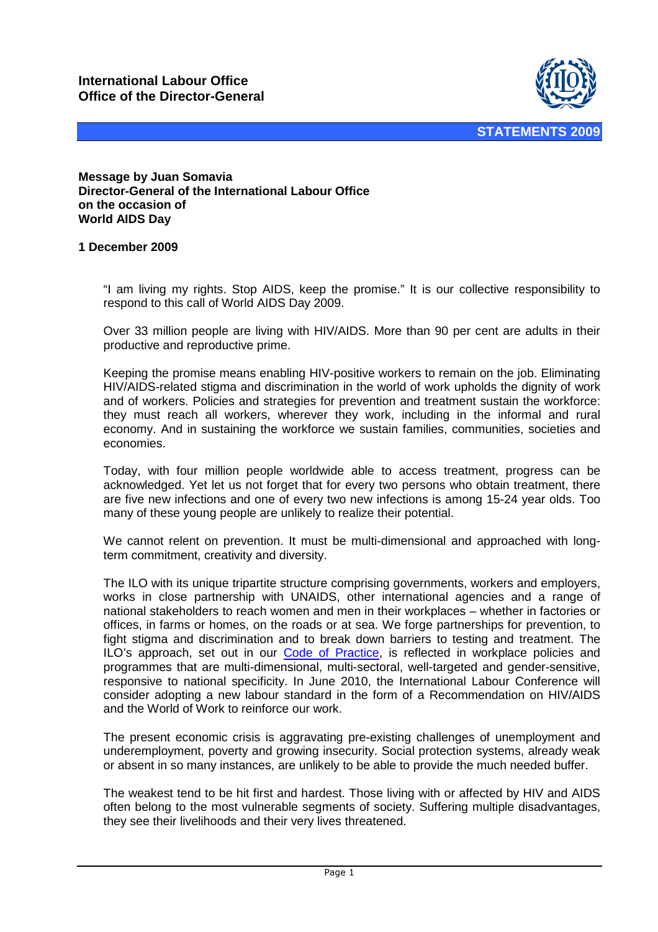

**Message by Juan Somavia Director-General of the International Labour Office on the occasion of World AIDS Day** 

## **1 December 2009**

"I am living my rights. Stop AIDS, keep the promise." It is our collective responsibility to respond to this call of World AIDS Day 2009.

Over 33 million people are living with HIV/AIDS. More than 90 per cent are adults in their productive and reproductive prime.

Keeping the promise means enabling HIV-positive workers to remain on the job. Eliminating HIV/AIDS-related stigma and discrimination in the world of work upholds the dignity of work and of workers. Policies and strategies for prevention and treatment sustain the workforce: they must reach all workers, wherever they work, including in the informal and rural economy. And in sustaining the workforce we sustain families, communities, societies and economies.

Today, with four million people worldwide able to access treatment, progress can be acknowledged. Yet let us not forget that for every two persons who obtain treatment, there are five new infections and one of every two new infections is among 15-24 year olds. Too many of these young people are unlikely to realize their potential.

We cannot relent on prevention. It must be multi-dimensional and approached with longterm commitment, creativity and diversity.

The ILO with its unique tripartite structure comprising governments, workers and employers, works in close partnership with UNAIDS, other international agencies and a range of national stakeholders to reach women and men in their workplaces – whether in factories or offices, in farms or homes, on the roads or at sea. We forge partnerships for prevention, to fight stigma and discrimination and to break down barriers to testing and treatment. The ILO's approach, set out in our [Code of Practice,](http://www.ilo.org/public/english/protection/trav/aids/publ/code.htm) is reflected in workplace policies and programmes that are multi-dimensional, multi-sectoral, well-targeted and gender-sensitive, responsive to national specificity. In June 2010, the International Labour Conference will consider adopting a new labour standard in the form of a Recommendation on HIV/AIDS and the World of Work to reinforce our work.

The present economic crisis is aggravating pre-existing challenges of unemployment and underemployment, poverty and growing insecurity. Social protection systems, already weak or absent in so many instances, are unlikely to be able to provide the much needed buffer.

The weakest tend to be hit first and hardest. Those living with or affected by HIV and AIDS often belong to the most vulnerable segments of society. Suffering multiple disadvantages, they see their livelihoods and their very lives threatened.